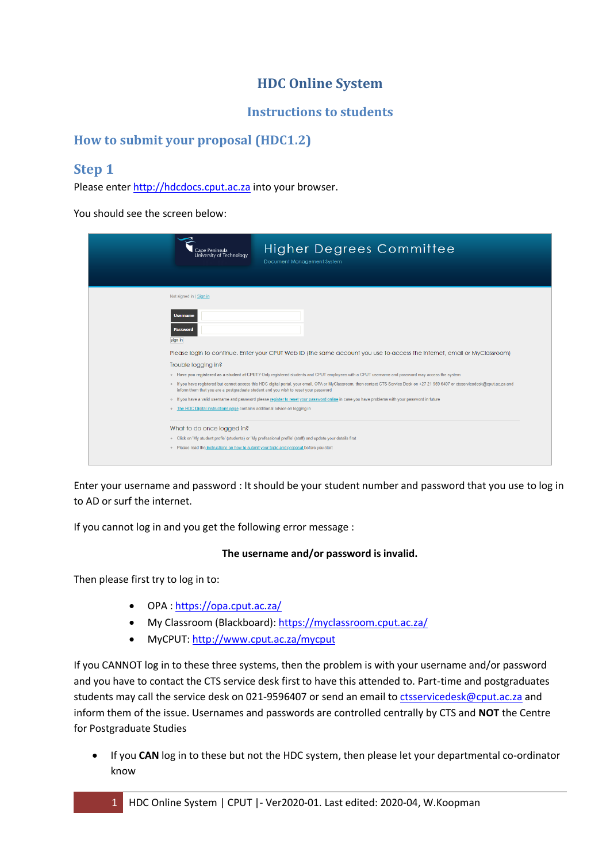# **HDC Online System**

### **Instructions to students**

### **How to submit your proposal (HDC1.2)**

## **Step 1**

Please enter [http://hdcdocs.cput.ac.za](http://hdcdocs.cput.ac.za/) into your browser.

You should see the screen below:

| <b>Higher Degrees Committee</b><br>Cape Peninsula<br>University of Technology<br>Document Management System                                                                                                                                                                                                                                                                                                                                                                                                                                                                                                                                                                                                                                                                                                                                                                                        |
|----------------------------------------------------------------------------------------------------------------------------------------------------------------------------------------------------------------------------------------------------------------------------------------------------------------------------------------------------------------------------------------------------------------------------------------------------------------------------------------------------------------------------------------------------------------------------------------------------------------------------------------------------------------------------------------------------------------------------------------------------------------------------------------------------------------------------------------------------------------------------------------------------|
| Not signed in   Sign in<br><b>Username</b><br><b>Password</b><br>sign in<br>Please login to continue. Enter your CPUT Web ID (the same account you use to access the internet, email or MyClassroom)<br>Trouble logging in?<br>o Have you registered as a student at CPUT? Only registered students and CPUT employees with a CPUT username and password may access the system<br>o If you have registered but cannot access this HDC digital portal, your email, OPA or MyClassroom, then contact CTS Service Desk on +27 21 959 6407 or ctsservicedesk@cput.ac.za and<br>inform them that you are a postgraduate student and you wish to reset your password<br>o If you have a valid username and password please register to reset your password online in case you have problems with your password in future<br>o The HDC Digital instructions page contains additional advice on logging in |
| What to do once logged in?<br>o Click on 'My student profle' (students) or 'My professional profile' (staff) and update your details first<br>o Please read the instructions on how to submit your topic and proposal before you start                                                                                                                                                                                                                                                                                                                                                                                                                                                                                                                                                                                                                                                             |

Enter your username and password : It should be your student number and password that you use to log in to AD or surf the internet.

If you cannot log in and you get the following error message :

#### **The username and/or password is invalid.**

Then please first try to log in to:

- OPA :<https://opa.cput.ac.za/>
- My Classroom (Blackboard):<https://myclassroom.cput.ac.za/>
- MyCPUT:<http://www.cput.ac.za/mycput>

If you CANNOT log in to these three systems, then the problem is with your username and/or password and you have to contact the CTS service desk first to have this attended to. Part-time and postgraduates students may call the service desk on 021-9596407 or send an email t[o ctsservicedesk@cput.ac.za](mailto:ctsservicedesk@cput.ac.za) and inform them of the issue. Usernames and passwords are controlled centrally by CTS and **NOT** the Centre for Postgraduate Studies

 If you **CAN** log in to these but not the HDC system, then please let your departmental co-ordinator know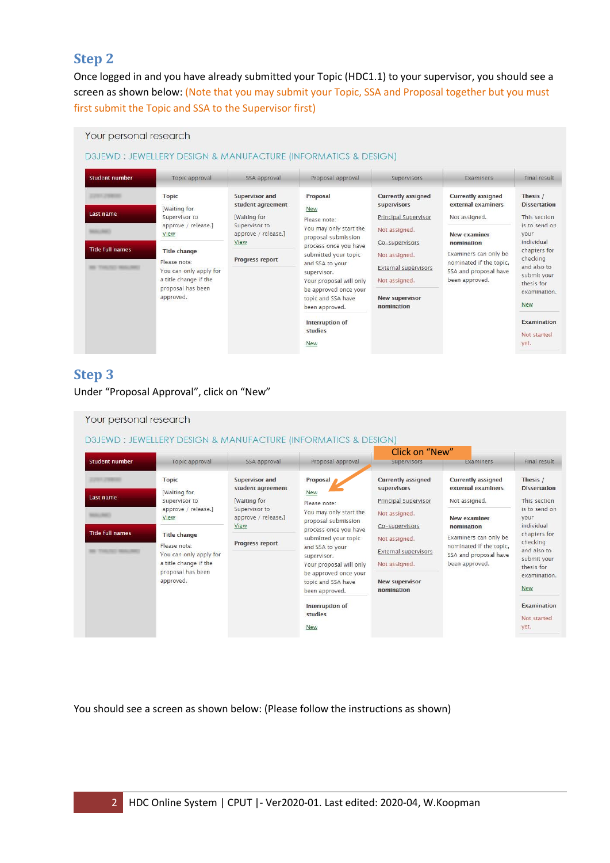### **Step 2**

**College** 

Once logged in and you have already submitted your Topic (HDC1.1) to your supervisor, you should see a screen as shown below: (Note that you may submit your Topic, SSA and Proposal together but you must first submit the Topic and SSA to the Supervisor first)

| <b>Student number</b>   | Topic approval                                                                                                           | SSA approval                                                                                      | Proposal approval                                                                                                                                                                                                                                               | Supervisors                                                                                                            | <b>Examiners</b>                                                                                          | Final result                                                                                                                                                                                 |
|-------------------------|--------------------------------------------------------------------------------------------------------------------------|---------------------------------------------------------------------------------------------------|-----------------------------------------------------------------------------------------------------------------------------------------------------------------------------------------------------------------------------------------------------------------|------------------------------------------------------------------------------------------------------------------------|-----------------------------------------------------------------------------------------------------------|----------------------------------------------------------------------------------------------------------------------------------------------------------------------------------------------|
| Last name               | <b>Topic</b><br>[Waiting for<br>Supervisor to<br>approve / release.]<br>View                                             | <b>Supervisor and</b><br>student agreement<br>Waiting for<br>Supervisor to<br>approve / release.] | Proposal<br>New<br>Please note:<br>You may only start the<br>proposal submission<br>process once you have<br>submitted your topic<br>and SSA to your<br>supervisor.<br>Your proposal will only<br>be approved once your<br>topic and SSA have<br>been approved. | <b>Currently assigned</b><br>supervisors<br>Principal Supervisor<br>Not assigned.                                      | <b>Currently assigned</b><br>external examiners<br>Not assigned.<br>New examiner                          | Thesis /<br><b>Dissertation</b><br>This section<br>is to send on<br>vour<br>individual<br>chapters for<br>checking<br>and also to<br>submit your<br>thesis for<br>examination.<br><b>New</b> |
| <b>Title full names</b> | <b>Title change</b><br>Please note:<br>You can only apply for<br>a title change if the<br>proposal has been<br>approved. | View<br>Progress report                                                                           |                                                                                                                                                                                                                                                                 | Co-supervisors<br>Not assigned.<br><b>External supervisors</b><br>Not assigned.<br><b>New supervisor</b><br>nomination | nomination<br>Examiners can only be<br>nominated if the topic.<br>SSA and proposal have<br>been approved. |                                                                                                                                                                                              |
|                         |                                                                                                                          |                                                                                                   | Interruption of<br>studies<br>New                                                                                                                                                                                                                               |                                                                                                                        |                                                                                                           | <b>Examination</b><br>Not started<br>yet.                                                                                                                                                    |

## **Step 3**

Under "Proposal Approval", click on "New"



You should see a screen as shown below: (Please follow the instructions as shown)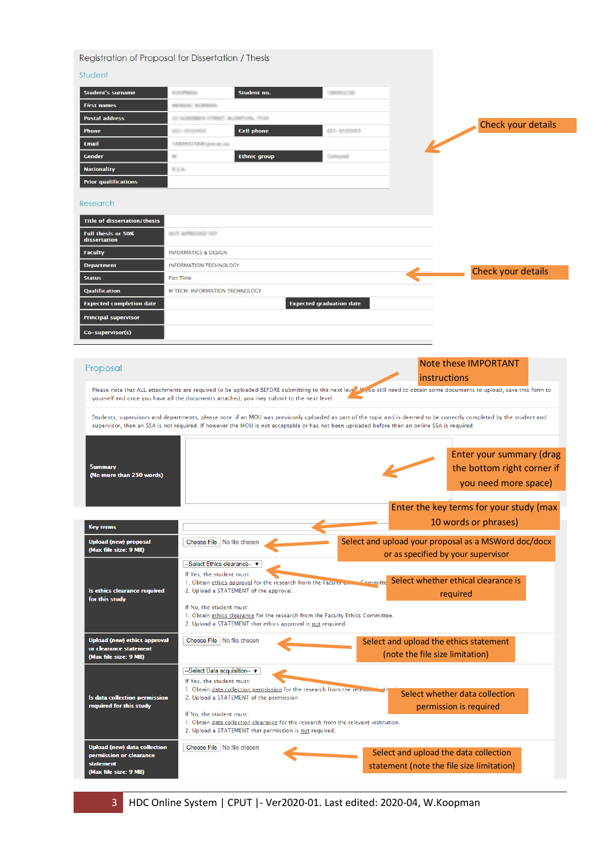| Student                                                                                                                                                                                                                                                                                                                                                                                                 |                                                                                                                                                                                                                                                                                                                                                                                                                                                                                                                                                                                             |                                 |                   |                                 |                                                                                    |                                                        |
|---------------------------------------------------------------------------------------------------------------------------------------------------------------------------------------------------------------------------------------------------------------------------------------------------------------------------------------------------------------------------------------------------------|---------------------------------------------------------------------------------------------------------------------------------------------------------------------------------------------------------------------------------------------------------------------------------------------------------------------------------------------------------------------------------------------------------------------------------------------------------------------------------------------------------------------------------------------------------------------------------------------|---------------------------------|-------------------|---------------------------------|------------------------------------------------------------------------------------|--------------------------------------------------------|
| <b>Student's surname</b>                                                                                                                                                                                                                                                                                                                                                                                | Student no.<br><b><i>ROOF PRINT</i></b>                                                                                                                                                                                                                                                                                                                                                                                                                                                                                                                                                     |                                 |                   |                                 |                                                                                    |                                                        |
| <b>First names</b>                                                                                                                                                                                                                                                                                                                                                                                      | <b>BENCH, NORMAN</b>                                                                                                                                                                                                                                                                                                                                                                                                                                                                                                                                                                        |                                 |                   |                                 |                                                                                    |                                                        |
| <b>Postal address</b>                                                                                                                                                                                                                                                                                                                                                                                   | 2-2 50.00                                                                                                                                                                                                                                                                                                                                                                                                                                                                                                                                                                                   |                                 |                   |                                 |                                                                                    | Check your details                                     |
| Phone                                                                                                                                                                                                                                                                                                                                                                                                   | <b>Cell phone</b><br>第23 小学の定当期から                                                                                                                                                                                                                                                                                                                                                                                                                                                                                                                                                           |                                 | $\cdots$ $\cdots$ |                                 |                                                                                    |                                                        |
| <b>Email</b>                                                                                                                                                                                                                                                                                                                                                                                            | 11031230 P. Johnson                                                                                                                                                                                                                                                                                                                                                                                                                                                                                                                                                                         |                                 |                   |                                 |                                                                                    |                                                        |
| Gender                                                                                                                                                                                                                                                                                                                                                                                                  | <b>Ethnic group</b><br>w                                                                                                                                                                                                                                                                                                                                                                                                                                                                                                                                                                    |                                 | Collegemi         |                                 |                                                                                    |                                                        |
| <b>Nationality</b>                                                                                                                                                                                                                                                                                                                                                                                      | 気工夫                                                                                                                                                                                                                                                                                                                                                                                                                                                                                                                                                                                         |                                 |                   |                                 |                                                                                    |                                                        |
| <b>Prior qualifications</b>                                                                                                                                                                                                                                                                                                                                                                             |                                                                                                                                                                                                                                                                                                                                                                                                                                                                                                                                                                                             |                                 |                   |                                 |                                                                                    |                                                        |
| Research                                                                                                                                                                                                                                                                                                                                                                                                |                                                                                                                                                                                                                                                                                                                                                                                                                                                                                                                                                                                             |                                 |                   |                                 |                                                                                    |                                                        |
| <b>Title of dissertation/thesis</b>                                                                                                                                                                                                                                                                                                                                                                     |                                                                                                                                                                                                                                                                                                                                                                                                                                                                                                                                                                                             |                                 |                   |                                 |                                                                                    |                                                        |
| Full thesis or 50%<br>dissertation                                                                                                                                                                                                                                                                                                                                                                      | NOT APPROVED YET                                                                                                                                                                                                                                                                                                                                                                                                                                                                                                                                                                            |                                 |                   |                                 |                                                                                    |                                                        |
| <b>Faculty</b>                                                                                                                                                                                                                                                                                                                                                                                          | <b>INFORMATICS &amp; DESIGN</b>                                                                                                                                                                                                                                                                                                                                                                                                                                                                                                                                                             |                                 |                   |                                 |                                                                                    |                                                        |
| <b>Department</b>                                                                                                                                                                                                                                                                                                                                                                                       | INFORMATION TECHNOLOGY                                                                                                                                                                                                                                                                                                                                                                                                                                                                                                                                                                      |                                 |                   |                                 |                                                                                    | Check your details                                     |
| <b>Status</b>                                                                                                                                                                                                                                                                                                                                                                                           | Part Time                                                                                                                                                                                                                                                                                                                                                                                                                                                                                                                                                                                   |                                 |                   |                                 |                                                                                    |                                                        |
| <b>Qualification</b>                                                                                                                                                                                                                                                                                                                                                                                    | M TECH: INFORMATION TECHNOLOGY                                                                                                                                                                                                                                                                                                                                                                                                                                                                                                                                                              |                                 |                   |                                 |                                                                                    |                                                        |
| <b>Expected completion date</b>                                                                                                                                                                                                                                                                                                                                                                         |                                                                                                                                                                                                                                                                                                                                                                                                                                                                                                                                                                                             | <b>Expected graduation date</b> |                   |                                 |                                                                                    |                                                        |
| <b>Principal supervisor</b>                                                                                                                                                                                                                                                                                                                                                                             |                                                                                                                                                                                                                                                                                                                                                                                                                                                                                                                                                                                             |                                 |                   |                                 |                                                                                    |                                                        |
| Co-supervisor(s)                                                                                                                                                                                                                                                                                                                                                                                        |                                                                                                                                                                                                                                                                                                                                                                                                                                                                                                                                                                                             |                                 |                   |                                 |                                                                                    |                                                        |
|                                                                                                                                                                                                                                                                                                                                                                                                         |                                                                                                                                                                                                                                                                                                                                                                                                                                                                                                                                                                                             |                                 |                   |                                 |                                                                                    |                                                        |
|                                                                                                                                                                                                                                                                                                                                                                                                         | Please note that ALL attachments are required to be uploaded BEFORE submitting to the next level Fou still need to obtain some documents to upload, save this form to<br>yourself and once you have all the documents attached, you may submit to the next level.<br>Students, supervisors and departments, please note: if an MOU was previously uploaded as part of the topic and is deemed to be correctly completed by the student and<br>supervisor, then an SSA is not required. If however the MOU is not acceptable or has not been uploaded before then an online SSA is required. |                                 |                   |                                 | instructions                                                                       |                                                        |
|                                                                                                                                                                                                                                                                                                                                                                                                         |                                                                                                                                                                                                                                                                                                                                                                                                                                                                                                                                                                                             |                                 |                   |                                 |                                                                                    | you need more space)                                   |
|                                                                                                                                                                                                                                                                                                                                                                                                         |                                                                                                                                                                                                                                                                                                                                                                                                                                                                                                                                                                                             |                                 |                   |                                 | Enter the key terms for your study (max                                            |                                                        |
|                                                                                                                                                                                                                                                                                                                                                                                                         |                                                                                                                                                                                                                                                                                                                                                                                                                                                                                                                                                                                             |                                 |                   |                                 | 10 words or phrases)                                                               |                                                        |
|                                                                                                                                                                                                                                                                                                                                                                                                         | Choose File   No file chosen                                                                                                                                                                                                                                                                                                                                                                                                                                                                                                                                                                |                                 |                   |                                 | Select and upload your proposal as a MSWord doc/docx                               |                                                        |
|                                                                                                                                                                                                                                                                                                                                                                                                         |                                                                                                                                                                                                                                                                                                                                                                                                                                                                                                                                                                                             |                                 |                   |                                 | or as specified by your supervisor                                                 |                                                        |
|                                                                                                                                                                                                                                                                                                                                                                                                         | -Select Ethics clearance--                                                                                                                                                                                                                                                                                                                                                                                                                                                                                                                                                                  |                                 |                   |                                 |                                                                                    |                                                        |
|                                                                                                                                                                                                                                                                                                                                                                                                         | If Yes, the student must:<br>1. Obtain ethics approval for the research from the Faculty Committe Select whether ethical clearance is                                                                                                                                                                                                                                                                                                                                                                                                                                                       |                                 |                   |                                 |                                                                                    |                                                        |
|                                                                                                                                                                                                                                                                                                                                                                                                         | 2. Upload a STATEMENT of the approval.                                                                                                                                                                                                                                                                                                                                                                                                                                                                                                                                                      |                                 |                   |                                 | required                                                                           |                                                        |
|                                                                                                                                                                                                                                                                                                                                                                                                         | If No, the student must:<br>1. Obtain ethics clearance for the research from the Faculty Ethics Committee.                                                                                                                                                                                                                                                                                                                                                                                                                                                                                  |                                 |                   |                                 |                                                                                    |                                                        |
|                                                                                                                                                                                                                                                                                                                                                                                                         | 2. Upload a STATEMENT that ethics approval is not required.                                                                                                                                                                                                                                                                                                                                                                                                                                                                                                                                 |                                 |                   |                                 |                                                                                    |                                                        |
|                                                                                                                                                                                                                                                                                                                                                                                                         | Choose File   No file chosen                                                                                                                                                                                                                                                                                                                                                                                                                                                                                                                                                                |                                 |                   |                                 | Select and upload the ethics statement                                             |                                                        |
|                                                                                                                                                                                                                                                                                                                                                                                                         |                                                                                                                                                                                                                                                                                                                                                                                                                                                                                                                                                                                             |                                 |                   | (note the file size limitation) |                                                                                    |                                                        |
|                                                                                                                                                                                                                                                                                                                                                                                                         | --Select Data acquisition--                                                                                                                                                                                                                                                                                                                                                                                                                                                                                                                                                                 |                                 |                   |                                 |                                                                                    |                                                        |
|                                                                                                                                                                                                                                                                                                                                                                                                         | If Yes, the student must:                                                                                                                                                                                                                                                                                                                                                                                                                                                                                                                                                                   |                                 |                   |                                 |                                                                                    |                                                        |
|                                                                                                                                                                                                                                                                                                                                                                                                         | 1. Obtain data collection permission for the research from the releval<br>2. Upload a STATEMENT of the permission                                                                                                                                                                                                                                                                                                                                                                                                                                                                           |                                 |                   |                                 | Select whether data collection                                                     |                                                        |
|                                                                                                                                                                                                                                                                                                                                                                                                         | If No, the student must:<br>1. Obtain data collection clearance for the research from the relevant institution.<br>2. Upload a STATEMENT that permission is not required.                                                                                                                                                                                                                                                                                                                                                                                                                   |                                 |                   |                                 | permission is required                                                             |                                                        |
|                                                                                                                                                                                                                                                                                                                                                                                                         | Choose File   No file chosen                                                                                                                                                                                                                                                                                                                                                                                                                                                                                                                                                                |                                 |                   |                                 |                                                                                    |                                                        |
| <b>Summary</b><br>(No more than 250 words)<br><b>Key terms</b><br><b>Upload (new) proposal</b><br>(Max file size: 9 MB)<br>Is ethics clearance required<br>for this study<br>Upload (new) ethics approval<br>or clearance statement<br>(Max file size: 9 MB)<br>ls data collection permission<br>required for this study<br>Upload (new) data collection<br>permission or clearance<br><b>statement</b> |                                                                                                                                                                                                                                                                                                                                                                                                                                                                                                                                                                                             |                                 |                   |                                 | Select and upload the data collection<br>statement (note the file size limitation) | Enter your summary (drag<br>the bottom right corner if |

3 HDC Online System | CPUT |- Ver2020-01. Last edited: 2020-04, W.Koopman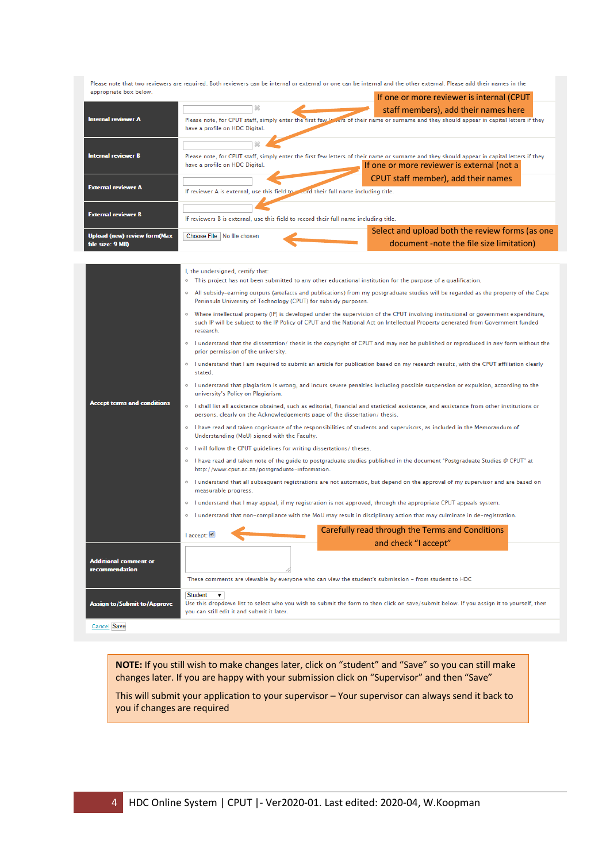Please note that two reviewers are required. Both reviewers can be internal or external or one can be internal and the other external. Please add their names in the appropriate box below.

|                                                         |                                                                                                                                                                              | If one or more reviewer is internal (CPUT                                                   |
|---------------------------------------------------------|------------------------------------------------------------------------------------------------------------------------------------------------------------------------------|---------------------------------------------------------------------------------------------|
| <b>Internal reviewer A</b>                              | Please note, for CPUT staff, simply enter the first few levers of their name or surname and they should appear in capital letters if they<br>have a profile on HDC Digital.  | staff members), add their names here                                                        |
| <b>Internal reviewer B</b>                              | Please note, for CPUT staff, simply enter the first few letters of their name or surname and they should appear in capital letters if they<br>have a profile on HDC Digital. | If one or more reviewer is external (not a                                                  |
| <b>External reviewer A</b>                              | If reviewer A is external, use this field to record their full name including title.                                                                                         | CPUT staff member), add their names                                                         |
| <b>External reviewer B</b>                              | If reviewers B is external, use this field to record their full name including title.                                                                                        |                                                                                             |
| <b>Upload (new) review form(Max</b><br>file size: 9 MB) | Choose File No file chosen                                                                                                                                                   | Select and upload both the review forms (as one<br>document -note the file size limitation) |

|                                         | I, the undersigned, certify that:<br>This project has not been submitted to any other educational institution for the purpose of a qualification.<br>۰                                                                                                                                          |  |  |  |  |  |
|-----------------------------------------|-------------------------------------------------------------------------------------------------------------------------------------------------------------------------------------------------------------------------------------------------------------------------------------------------|--|--|--|--|--|
|                                         | <sup>o</sup> All subsidy-earning outputs (artefacts and publications) from my postgraduate studies will be regarded as the property of the Cape<br>Peninsula University of Technology (CPUT) for subsidy purposes.                                                                              |  |  |  |  |  |
|                                         | <sup>o</sup> Where intellectual property (IP) is developed under the supervision of the CPUT involving institutional or government expenditure,<br>such IP will be subject to the IP Policy of CPUT and the National Act on Intellectual Property generated from Government funded<br>research. |  |  |  |  |  |
|                                         | • I understand that the dissertation/thesis is the copyright of CPUT and may not be published or reproduced in any form without the<br>prior permission of the university.                                                                                                                      |  |  |  |  |  |
|                                         | o I understand that I am required to submit an article for publication based on my research results, with the CPUT affiliation clearly<br>stated.                                                                                                                                               |  |  |  |  |  |
|                                         | <sup>o</sup> lunderstand that plagiarism is wrong, and incurs severe penalties including possible suspension or expulsion, according to the<br>university's Policy on Plagiarism.                                                                                                               |  |  |  |  |  |
| <b>Accept terms and conditions</b>      | . I shall list all assistance obtained, such as editorial, financial and statistical assistance, and assistance from other institutions or<br>persons, clearly on the Acknowledgements page of the dissertation/thesis.                                                                         |  |  |  |  |  |
|                                         | o I have read and taken cognisance of the responsibilities of students and supervisors, as included in the Memorandum of<br>Understanding (MoU) signed with the Faculty.                                                                                                                        |  |  |  |  |  |
|                                         | o I will follow the CPUT quidelines for writing dissertations/ theses.                                                                                                                                                                                                                          |  |  |  |  |  |
|                                         | <sup>o</sup> I have read and taken note of the guide to postgraduate studies published in the document "Postgraduate Studies @ CPUT" at<br>http://www.cput.ac.za/postgraduate-information.                                                                                                      |  |  |  |  |  |
|                                         | I understand that all subsequent registrations are not automatic, but depend on the approval of my supervisor and are based on<br>$\circ$<br>measurable progress.                                                                                                                               |  |  |  |  |  |
|                                         | I understand that I may appeal, if my registration is not approved, through the appropriate CPUT appeals system.<br>$\circ$                                                                                                                                                                     |  |  |  |  |  |
|                                         | I understand that non-compliance with the MoU may result in disciplinary action that may culminate in de-registration.<br>$\circ$                                                                                                                                                               |  |  |  |  |  |
|                                         | Carefully read through the Terms and Conditions<br>  accept:                                                                                                                                                                                                                                    |  |  |  |  |  |
|                                         | and check "I accept"                                                                                                                                                                                                                                                                            |  |  |  |  |  |
| Additional comment or<br>recommendation | These comments are viewable by everyone who can view the student's submission - from student to HDC                                                                                                                                                                                             |  |  |  |  |  |
| <b>Assign to/Submit to/Approve</b>      | <b>Student</b><br>▼<br>Use this dropdown list to select who you wish to submit the form to then click on save/submit below. If you assign it to yourself, then<br>vou can still edit it and submit it later.                                                                                    |  |  |  |  |  |
| <b>Cancel Save</b>                      |                                                                                                                                                                                                                                                                                                 |  |  |  |  |  |

**NOTE:** If you still wish to make changes later, click on "student" and "Save" so you can still make changes later. If you are happy with your submission click on "Supervisor" and then "Save"

This will submit your application to your supervisor – Your supervisor can always send it back to you if changes are required